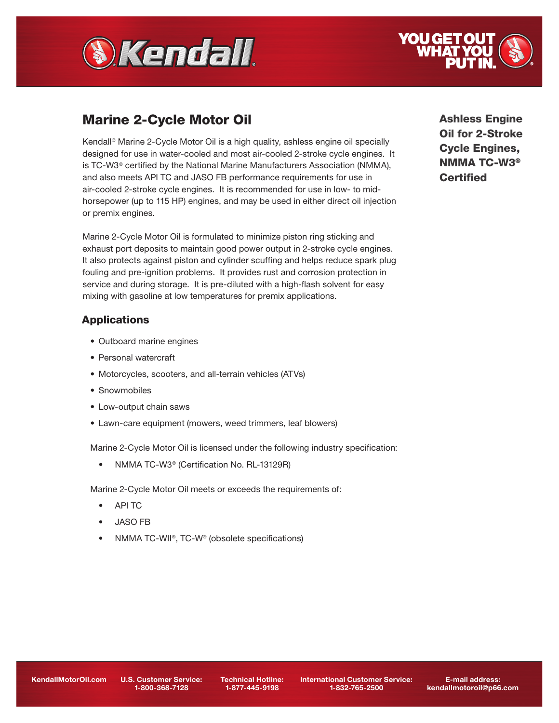



# Marine 2-Cycle Motor Oil

Kendall® Marine 2-Cycle Motor Oil is a high quality, ashless engine oil specially designed for use in water-cooled and most air-cooled 2-stroke cycle engines. It is TC-W3® certified by the National Marine Manufacturers Association (NMMA), and also meets API TC and JASO FB performance requirements for use in air-cooled 2-stroke cycle engines. It is recommended for use in low- to midhorsepower (up to 115 HP) engines, and may be used in either direct oil injection or premix engines.

Marine 2-Cycle Motor Oil is formulated to minimize piston ring sticking and exhaust port deposits to maintain good power output in 2-stroke cycle engines. It also protects against piston and cylinder scuffing and helps reduce spark plug fouling and pre-ignition problems. It provides rust and corrosion protection in service and during storage. It is pre-diluted with a high-flash solvent for easy mixing with gasoline at low temperatures for premix applications.

# **Applications**

- Outboard marine engines
- Personal watercraft
- Motorcycles, scooters, and all-terrain vehicles (ATVs)
- Snowmobiles
- Low-output chain saws
- Lawn-care equipment (mowers, weed trimmers, leaf blowers)

Marine 2-Cycle Motor Oil is licensed under the following industry specification:

• NMMA TC-W3<sup>®</sup> (Certification No. RL-13129R)

Marine 2-Cycle Motor Oil meets or exceeds the requirements of:

- API TC
- JASO FB
- NMMA TC-WII®, TC-W® (obsolete specifications)

Ashless Engine Oil for 2-Stroke Cycle Engines, NMMA TC-W3® **Certified** 

1-800-368-7128

Technical Hotline: 1-877-445-9198

International Customer Service: 1-832-765-2500

E-mail address: kendallmotoroil@p66.com